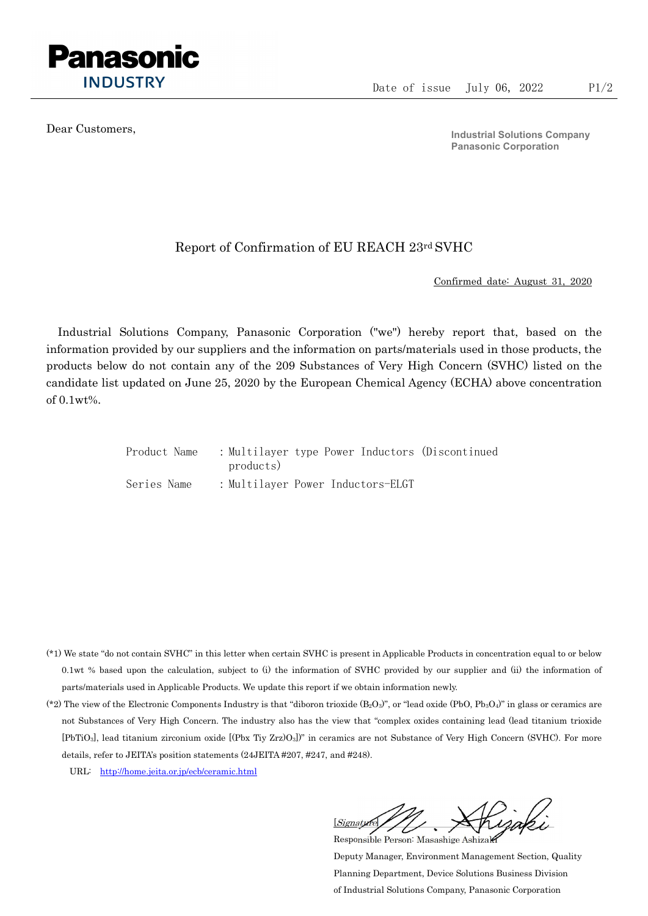

Dear Customers,

Industrial Solutions Company Panasonic Corporation

## Report of Confirmation of EU REACH 23rd SVHC

Confirmed date: August 31, 2020

Industrial Solutions Company, Panasonic Corporation ("we") hereby report that, based on the information provided by our suppliers and the information on parts/materials used in those products, the products below do not contain any of the 209 Substances of Very High Concern (SVHC) listed on the candidate list updated on June 25, 2020 by the European Chemical Agency (ECHA) above concentration of 0.1wt%.

| Product Name | : Multilayer type Power Inductors (Discontinued<br>products) |
|--------------|--------------------------------------------------------------|
| Series Name  | : Multilayer Power Inductors-ELGT                            |

- (\*1) We state "do not contain SVHC" in this letter when certain SVHC is present in Applicable Products in concentration equal to or below 0.1wt % based upon the calculation, subject to (i) the information of SVHC provided by our supplier and (ii) the information of parts/materials used in Applicable Products. We update this report if we obtain information newly.
- (\*2) The view of the Electronic Components Industry is that "diboron trioxide  $(B_2O_3)$ ", or "lead oxide (PbO, Pb<sub>3</sub>O<sub>4</sub>)" in glass or ceramics are not Substances of Very High Concern. The industry also has the view that "complex oxides containing lead (lead titanium trioxide [PbTiO3], lead titanium zirconium oxide [(Pbx Tiy Zrz)O3])" in ceramics are not Substance of Very High Concern (SVHC). For more details, refer to JEITA's position statements (24JEITA #207, #247, and #248).
	- URL: http://home.jeita.or.jp/ecb/ceramic.html

 $[Signat]$ Responsible Person: Masashige Ashizaki

Deputy Manager, Environment Management Section, Quality Planning Department, Device Solutions Business Division of Industrial Solutions Company, Panasonic Corporation